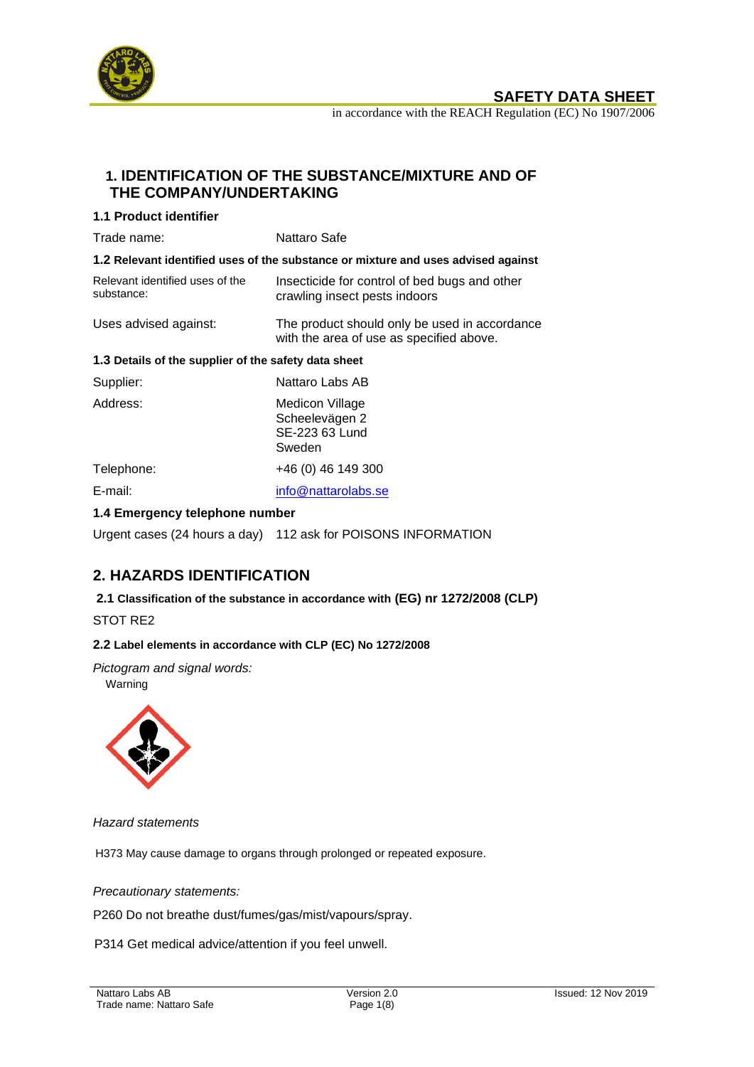

**SAFETY DATA SHEET** 

in accordance with the REACH Regulation (EC) No 1907/2006

# **1. IDENTIFICATION OF THE SUBSTANCE/MIXTURE AND OF THE COMPANY/UNDERTAKING**

### **1.1 Product identifier**

| Trade name:                                                                       | Nattaro Safe                                                                              |  |
|-----------------------------------------------------------------------------------|-------------------------------------------------------------------------------------------|--|
| 1.2 Relevant identified uses of the substance or mixture and uses advised against |                                                                                           |  |
| Relevant identified uses of the<br>substance:                                     | Insecticide for control of bed bugs and other<br>crawling insect pests indoors            |  |
| Uses advised against:                                                             | The product should only be used in accordance<br>with the area of use as specified above. |  |
| 1.3 Details of the supplier of the safety data sheet                              |                                                                                           |  |
| Supplier:                                                                         | Nattaro Labs AB                                                                           |  |
| Address:                                                                          | Medicon Village<br>Scheelevägen 2<br>SE-223 63 Lund<br>Sweden                             |  |
| Telephone:                                                                        | +46 (0) 46 149 300                                                                        |  |
| E-mail:                                                                           | info@nattarolabs.se                                                                       |  |
| 1.4 Emergency telephone number                                                    |                                                                                           |  |

Urgent cases (24 hours a day) 112 ask for POISONS INFORMATION

# **2. HAZARDS IDENTIFICATION**

**2.1 Classification of the substance in accordance with (EG) nr 1272/2008 (CLP)**

STOT RE2

#### **2.2 Label elements in accordance with CLP (EC) No 1272/2008**

*Pictogram and signal words:* 

Warning



*Hazard statements*

H373 May cause damage to organs through prolonged or repeated exposure.

#### *Precautionary statements:*

P260 Do not breathe dust/fumes/gas/mist/vapours/spray.

P314 Get medical advice/attention if you feel unwell.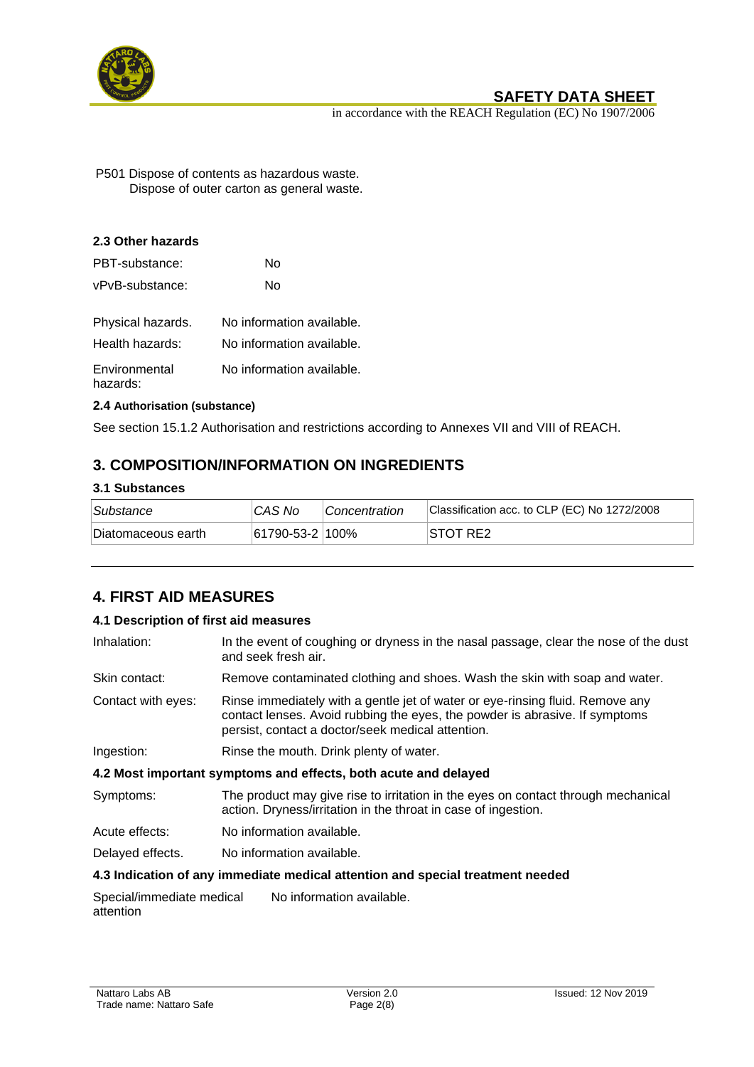

in accordance with the REACH Regulation (EC) No 1907/2006

P501 Dispose of contents as hazardous waste. Dispose of outer carton as general waste.

### **2.3 Other hazards**

| PBT-substance:            | N٥                        |
|---------------------------|---------------------------|
| vPvB-substance:           | N٥                        |
| Physical hazards.         | No information available. |
| Health hazards:           | No information available. |
| Environmental<br>hazards: | No information available. |

### **2.4 Authorisation (substance)**

See section 15.1.2 Authorisation and restrictions according to Annexes VII and VIII of REACH.

# **3. COMPOSITION/INFORMATION ON INGREDIENTS**

### **3.1 Substances**

| Substance          | CAS No                  | <i>Concentration</i> | Classification acc. to CLP (EC) No 1272/2008 |
|--------------------|-------------------------|----------------------|----------------------------------------------|
| Diatomaceous earth | $ 61790 - 53 - 2 100\%$ |                      | ISTOT RE2                                    |

# **4. FIRST AID MEASURES**

### **4.1 Description of first aid measures**

| Inhalation:        | In the event of coughing or dryness in the nasal passage, clear the nose of the dust<br>and seek fresh air.                                                                                                       |
|--------------------|-------------------------------------------------------------------------------------------------------------------------------------------------------------------------------------------------------------------|
| Skin contact:      | Remove contaminated clothing and shoes. Wash the skin with soap and water.                                                                                                                                        |
| Contact with eyes: | Rinse immediately with a gentle jet of water or eye-rinsing fluid. Remove any<br>contact lenses. Avoid rubbing the eyes, the powder is abrasive. If symptoms<br>persist, contact a doctor/seek medical attention. |
| Ingestion:         | Rinse the mouth. Drink plenty of water.                                                                                                                                                                           |
|                    | 4.2 Most important symptoms and effects, both acute and delayed                                                                                                                                                   |
| Symptoms:          | The product may give rise to irritation in the eyes on contact through mechanical<br>action. Dryness/irritation in the throat in case of ingestion.                                                               |
| Acute effects:     | No information available.                                                                                                                                                                                         |
| Delayed effects.   | No information available.                                                                                                                                                                                         |
|                    | 4.3 Indication of any immediate medical attention and special treatment needed                                                                                                                                    |
|                    | Coocialimmediate medical Mejofermation evolution                                                                                                                                                                  |

Special/immediate medical attention No information available.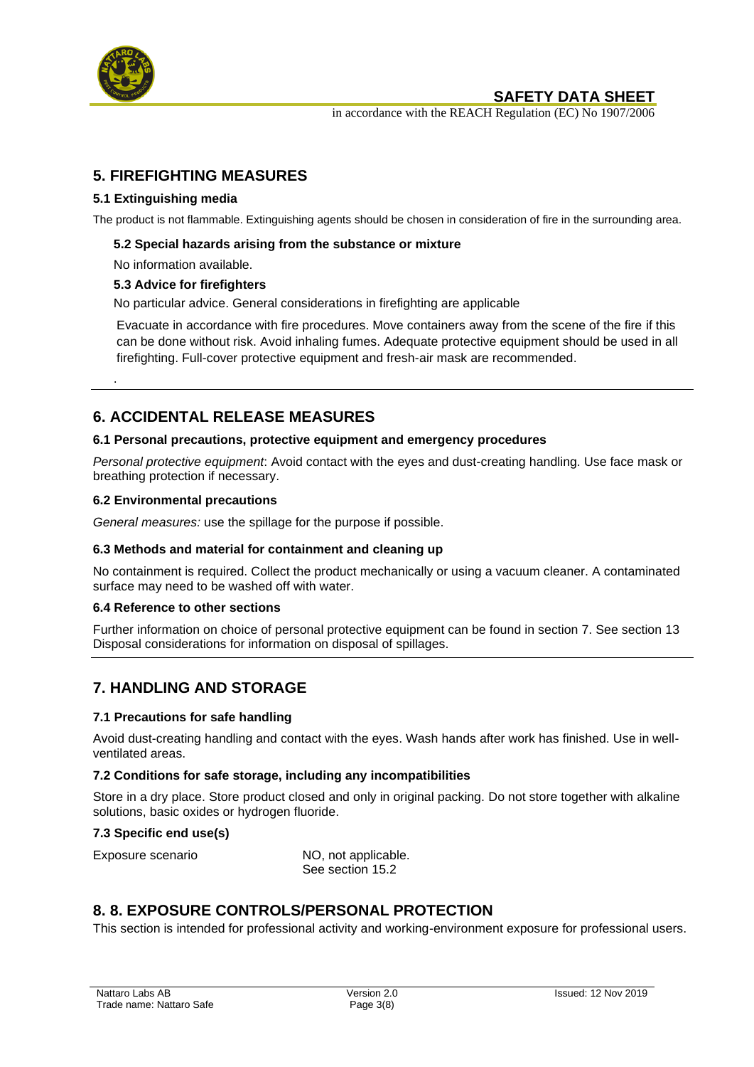

.

## **SAFETY DATA SHEET**

in accordance with the REACH Regulation (EC) No 1907/2006

# **5. FIREFIGHTING MEASURES**

### **5.1 Extinguishing media**

The product is not flammable. Extinguishing agents should be chosen in consideration of fire in the surrounding area.

#### **5.2 Special hazards arising from the substance or mixture**

### No information available.

### **5.3 Advice for firefighters**

No particular advice. General considerations in firefighting are applicable

Evacuate in accordance with fire procedures. Move containers away from the scene of the fire if this can be done without risk. Avoid inhaling fumes. Adequate protective equipment should be used in all firefighting. Full-cover protective equipment and fresh-air mask are recommended.

# **6. ACCIDENTAL RELEASE MEASURES**

#### **6.1 Personal precautions, protective equipment and emergency procedures**

*Personal protective equipment*: Avoid contact with the eyes and dust-creating handling. Use face mask or breathing protection if necessary.

#### **6.2 Environmental precautions**

*General measures:* use the spillage for the purpose if possible.

#### **6.3 Methods and material for containment and cleaning up**

No containment is required. Collect the product mechanically or using a vacuum cleaner. A contaminated surface may need to be washed off with water.

#### **6.4 Reference to other sections**

Further information on choice of personal protective equipment can be found in section 7. See section 13 Disposal considerations for information on disposal of spillages.

## **7. HANDLING AND STORAGE**

#### **7.1 Precautions for safe handling**

Avoid dust-creating handling and contact with the eyes. Wash hands after work has finished. Use in wellventilated areas.

#### **7.2 Conditions for safe storage, including any incompatibilities**

Store in a dry place. Store product closed and only in original packing. Do not store together with alkaline solutions, basic oxides or hydrogen fluoride.

#### **7.3 Specific end use(s)**

Exposure scenario NO, not applicable. See section 15.2

## **8. 8. EXPOSURE CONTROLS/PERSONAL PROTECTION**

This section is intended for professional activity and working-environment exposure for professional users.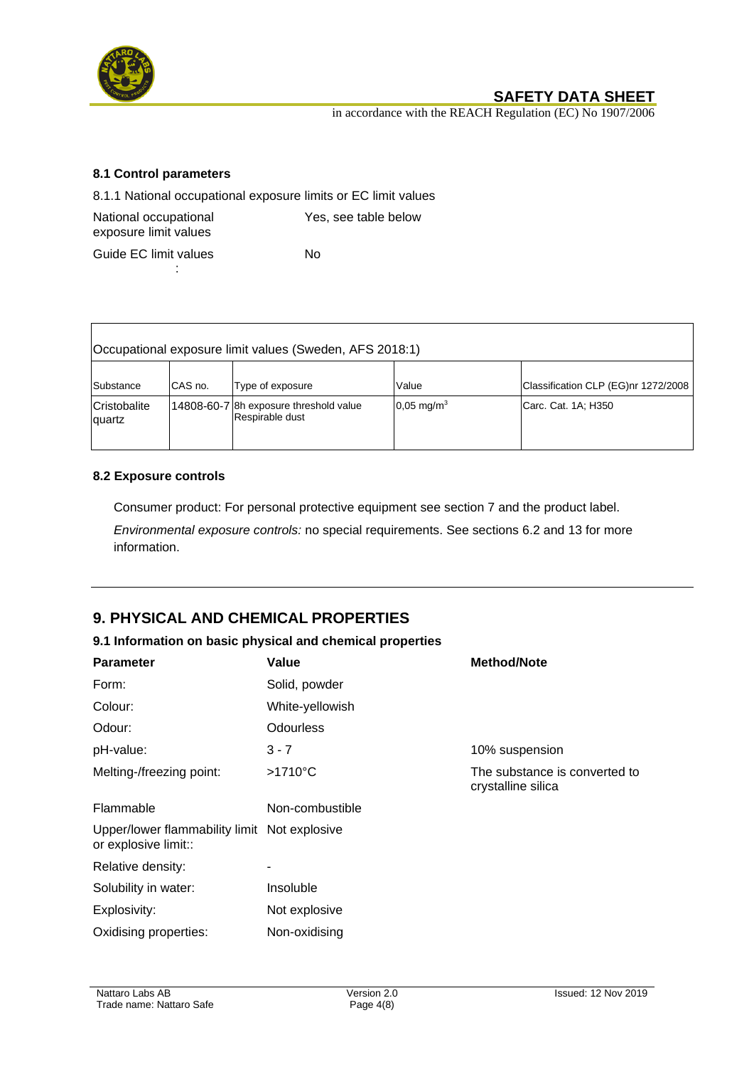

Г

# **SAFETY DATA SHEET**

in accordance with the REACH Regulation (EC) No 1907/2006

### **8.1 Control parameters**

8.1.1 National occupational exposure limits or EC limit values

| National occupational | Yes, see table below |
|-----------------------|----------------------|
| exposure limit values |                      |
| Guide EC limit values | N٥                   |

Guide EC limit values :

| Occupational exposure limit values (Sweden, AFS 2018:1) |         |                                                           |                          |                                     |
|---------------------------------------------------------|---------|-----------------------------------------------------------|--------------------------|-------------------------------------|
| Substance                                               | CAS no. | Type of exposure                                          | Value                    | Classification CLP (EG)nr 1272/2008 |
| Cristobalite<br>quartz                                  |         | 14808-60-7 8h exposure threshold value<br>Respirable dust | $0.05 \,\mathrm{mg/m^3}$ | Carc. Cat. 1A; H350                 |

### **8.2 Exposure controls**

Consumer product: For personal protective equipment see section 7 and the product label.

*Environmental exposure controls:* no special requirements. See sections 6.2 and 13 for more information.

# **9. PHYSICAL AND CHEMICAL PROPERTIES**

### **9.1 Information on basic physical and chemical properties**

| <b>Parameter</b>                                                     | Value             | <b>Method/Note</b>                                  |
|----------------------------------------------------------------------|-------------------|-----------------------------------------------------|
| Form:                                                                | Solid, powder     |                                                     |
| Colour:                                                              | White-yellowish   |                                                     |
| Odour:                                                               | <b>Odourless</b>  |                                                     |
| pH-value:                                                            | $3 - 7$           | 10% suspension                                      |
| Melting-/freezing point:                                             | $>1710^{\circ}$ C | The substance is converted to<br>crystalline silica |
| Flammable                                                            | Non-combustible   |                                                     |
| Upper/lower flammability limit Not explosive<br>or explosive limit:: |                   |                                                     |
| Relative density:                                                    |                   |                                                     |
| Solubility in water:                                                 | Insoluble         |                                                     |
| Explosivity:                                                         | Not explosive     |                                                     |
| Oxidising properties:                                                | Non-oxidising     |                                                     |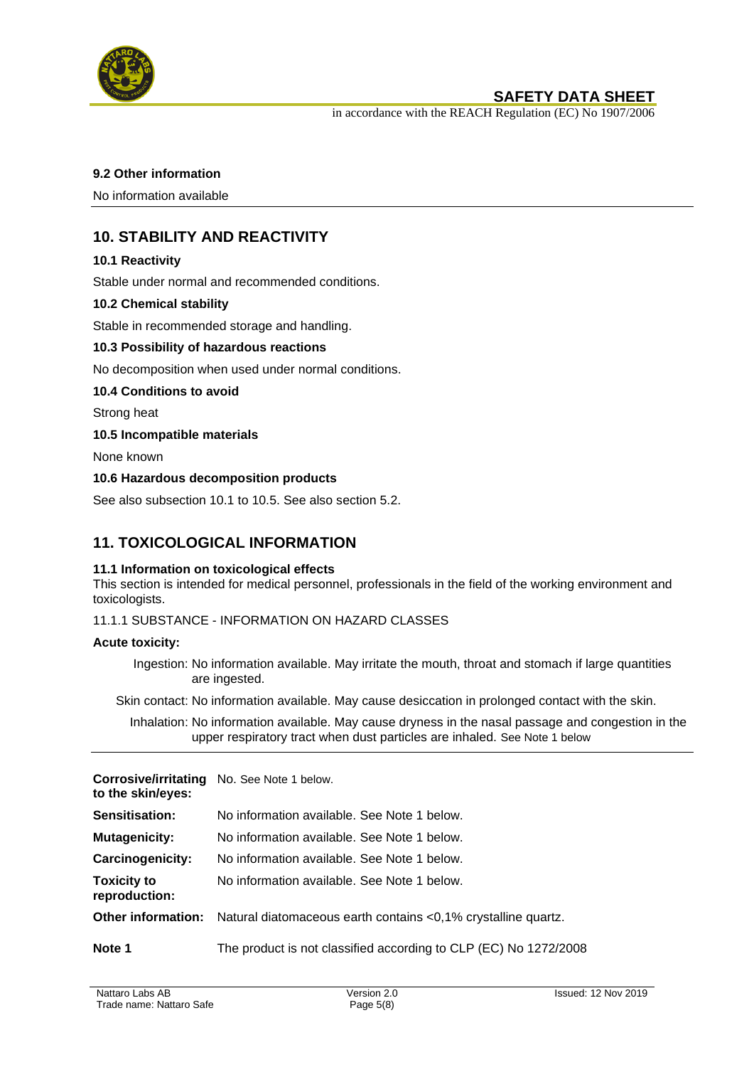

in accordance with the REACH Regulation (EC) No 1907/2006

#### **9.2 Other information**

No information available

# **10. STABILITY AND REACTIVITY**

### **10.1 Reactivity**

Stable under normal and recommended conditions.

### **10.2 Chemical stability**

Stable in recommended storage and handling.

#### **10.3 Possibility of hazardous reactions**

No decomposition when used under normal conditions.

#### **10.4 Conditions to avoid**

Strong heat

#### **10.5 Incompatible materials**

None known

#### **10.6 Hazardous decomposition products**

See also subsection 10.1 to 10.5. See also section 5.2.

## **11. TOXICOLOGICAL INFORMATION**

#### **11.1 Information on toxicological effects**

This section is intended for medical personnel, professionals in the field of the working environment and toxicologists.

#### 11.1.1 SUBSTANCE - INFORMATION ON HAZARD CLASSES

#### **Acute toxicity:**

Ingestion: No information available. May irritate the mouth, throat and stomach if large quantities are ingested.

Skin contact: No information available. May cause desiccation in prolonged contact with the skin.

Inhalation: No information available. May cause dryness in the nasal passage and congestion in the upper respiratory tract when dust particles are inhaled. See Note 1 below

| to the skin/eyes:                   | <b>Corrosive/irritating</b> No. See Note 1 below.                                |
|-------------------------------------|----------------------------------------------------------------------------------|
| <b>Sensitisation:</b>               | No information available. See Note 1 below.                                      |
| <b>Mutagenicity:</b>                | No information available. See Note 1 below.                                      |
| Carcinogenicity:                    | No information available. See Note 1 below.                                      |
| <b>Toxicity to</b><br>reproduction: | No information available. See Note 1 below.                                      |
|                                     | Other information: Natural diatomaceous earth contains <0,1% crystalline quartz. |
| Note 1                              | The product is not classified according to CLP (EC) No 1272/2008                 |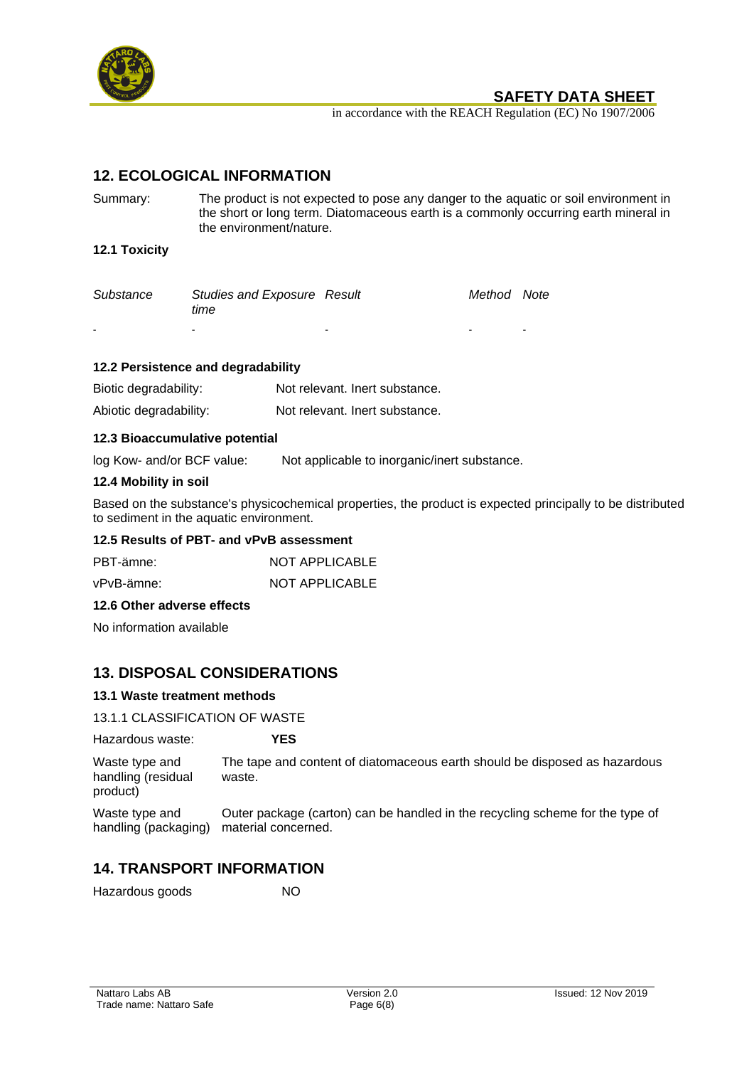

### **SAFETY DATA SHEET**

in accordance with the REACH Regulation (EC) No 1907/2006

## **12. ECOLOGICAL INFORMATION**

Summary: The product is not expected to pose any danger to the aquatic or soil environment in the short or long term. Diatomaceous earth is a commonly occurring earth mineral in the environment/nature.

#### **12.1 Toxicity**

| Substance | <b>Studies and Exposure Result</b><br>time |        | Method Note |  |
|-----------|--------------------------------------------|--------|-------------|--|
| $\sim$    |                                            | $\sim$ |             |  |

#### **12.2 Persistence and degradability**

| Biotic degradability:  | Not relevant. Inert substance. |
|------------------------|--------------------------------|
| Abiotic degradability: | Not relevant. Inert substance. |

#### **12.3 Bioaccumulative potential**

log Kow- and/or BCF value: Not applicable to inorganic/inert substance.

#### **12.4 Mobility in soil**

Based on the substance's physicochemical properties, the product is expected principally to be distributed to sediment in the aquatic environment.

#### **12.5 Results of PBT- and vPvB assessment**

| PBT-ämne:  | <b>NOT APPLICABLE</b> |
|------------|-----------------------|
| vPvB-ämne: | NOT APPLICABLE        |

#### **12.6 Other adverse effects**

No information available

## **13. DISPOSAL CONSIDERATIONS**

#### **13.1 Waste treatment methods**

#### 13.1.1 CLASSIFICATION OF WASTE

Hazardous waste: **YES**

Waste type and handling (residual product) The tape and content of diatomaceous earth should be disposed as hazardous waste.

Waste type and handling (packaging) Outer package (carton) can be handled in the recycling scheme for the type of material concerned.

## **14. TRANSPORT INFORMATION**

Hazardous goods NO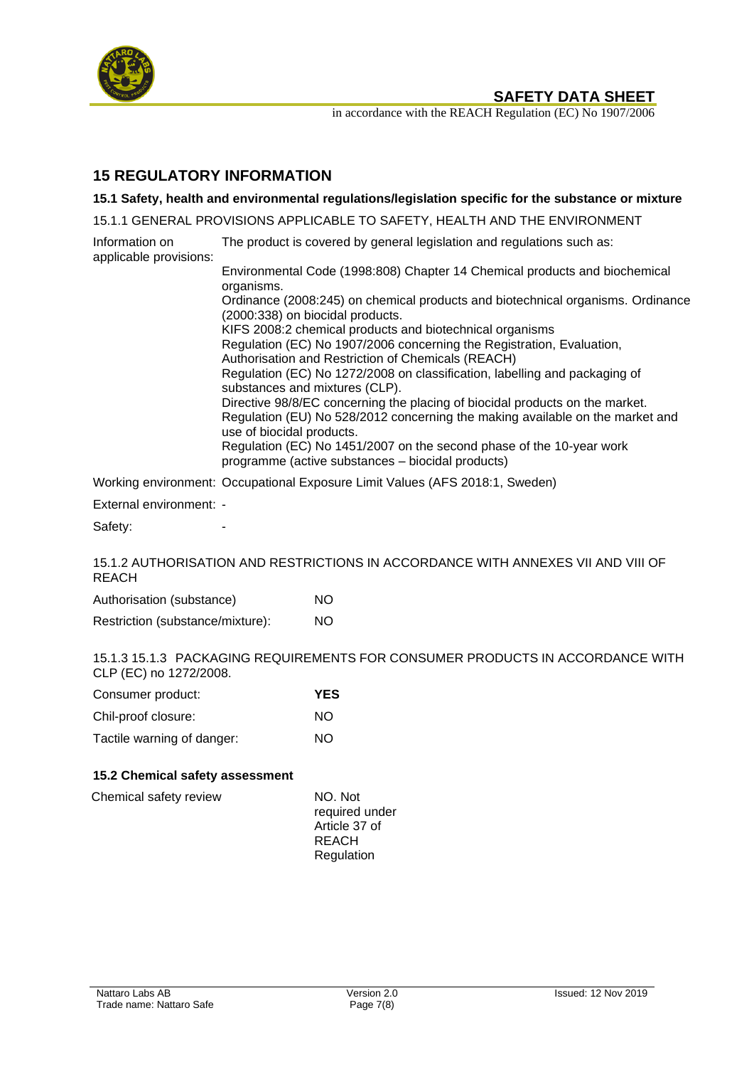

**SAFETY DATA SHEET** 

in accordance with the REACH Regulation (EC) No 1907/2006

# **15 REGULATORY INFORMATION**

**15.1 Safety, health and environmental regulations/legislation specific for the substance or mixture**

15.1.1 GENERAL PROVISIONS APPLICABLE TO SAFETY, HEALTH AND THE ENVIRONMENT

Information on applicable provisions: The product is covered by general legislation and regulations such as:

Environmental Code (1998:808) Chapter 14 Chemical products and biochemical organisms. Ordinance (2008:245) on chemical products and biotechnical organisms. Ordinance (2000:338) on biocidal products. KIFS 2008:2 chemical products and biotechnical organisms Regulation (EC) No 1907/2006 concerning the Registration, Evaluation, Authorisation and Restriction of Chemicals (REACH) Regulation (EC) No 1272/2008 on classification, labelling and packaging of substances and mixtures (CLP). Directive 98/8/EC concerning the placing of biocidal products on the market. Regulation (EU) No 528/2012 concerning the making available on the market and use of biocidal products. Regulation (EC) No 1451/2007 on the second phase of the 10-year work programme (active substances – biocidal products)

Working environment: Occupational Exposure Limit Values (AFS 2018:1, Sweden)

External environment: -

Safety:

15.1.2 AUTHORISATION AND RESTRICTIONS IN ACCORDANCE WITH ANNEXES VII AND VIII OF **REACH** 

| Authorisation (substance) |  | NO. |
|---------------------------|--|-----|
|---------------------------|--|-----|

Restriction (substance/mixture): NO

15.1.3 15.1.3 PACKAGING REQUIREMENTS FOR CONSUMER PRODUCTS IN ACCORDANCE WITH CLP (EC) no 1272/2008.

| Consumer product:          | <b>YES</b> |
|----------------------------|------------|
| Chil-proof closure:        | NO.        |
| Tactile warning of danger: | NO.        |

### **15.2 Chemical safety assessment**

| Chemical safety review | NO. Not<br>required under     |
|------------------------|-------------------------------|
|                        | Article 37 of<br><b>REACH</b> |
|                        | Regulation                    |